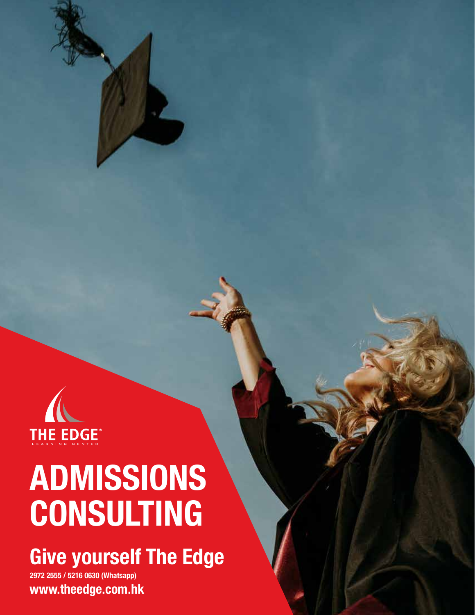

# **ADMISSIONS CONSULTING**

# **Give yourself The Edge**

**2972 2555 / 5216 0630 (Whatsapp) www.theedge.com.hk**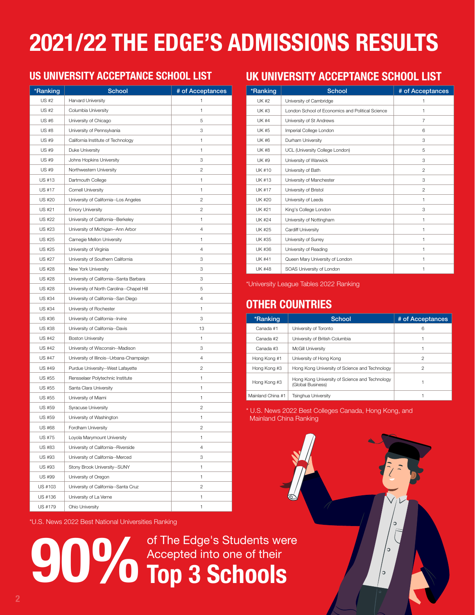# **2021/22 THE EDGE'S ADMISSIONS RESULTS**

#### **US UNIVERSITY ACCEPTANCE SCHOOL LIST**

| *Ranking      | <b>School</b>                             | # of Acceptances |
|---------------|-------------------------------------------|------------------|
| US #2         | <b>Harvard University</b>                 | 1                |
| <b>US #2</b>  | Columbia University                       | 1                |
| US #6         | University of Chicago                     | 5                |
| <b>US #8</b>  | University of Pennsylvania                | 3                |
| US #9         | California Institute of Technology        | 1                |
| US #9         | Duke University                           | 1                |
| US #9         | Johns Hopkins University                  | 3                |
| <b>US #9</b>  | Northwestern University                   | 2                |
| US #13        | Dartmouth College                         | 1                |
| US #17        | Cornell University                        | 1                |
| US #20        | University of California--Los Angeles     | 2                |
| US #21        | <b>Emory University</b>                   | 2                |
| US #22        | University of California--Berkeley        | 1                |
| US #23        | University of Michigan--Ann Arbor         | 4                |
| US #25        | Carnegie Mellon University                | 1                |
| US #25        | University of Virginia                    | 4                |
| US #27        | University of Southern California         | 3                |
| US #28        | New York University                       | 3                |
| US #28        | University of California--Santa Barbara   | 3                |
| <b>US #28</b> | University of North Carolina--Chapel Hill | 5                |
| US #34        | University of California--San Diego       | 4                |
| US #34        | University of Rochester                   | 1                |
| US #36        | University of California--Irvine          | 3                |
| US #38        | University of California--Davis           | 13               |
| US #42        | <b>Boston University</b>                  | 1                |
| US #42        | University of Wisconsin--Madison          | 3                |
| US #47        | University of Illinois--Urbana-Champaign  | 4                |
| <b>US #49</b> | Purdue University--West Lafayette         | 2                |
| US #55        | Rensselaer Polytechnic Institute          | 1                |
| US #55        | Santa Clara University                    | 1                |
| US #55        | University of Miami                       | 1                |
| <b>US #59</b> | <b>Syracuse University</b>                | 2                |
| US #59        | University of Washington                  | 1                |
| US #68        | Fordham University                        | 2                |
| US #75        | Loyola Marymount University               | 1                |
| US #83        | University of California--Riverside       | 4                |
| US #93        | University of California--Merced          | З                |
| US #93        | Stony Brook University--SUNY              | 1                |
| US #99        | University of Oregon                      | 1                |
| US #103       | University of California--Santa Cruz      | 2                |
| US #136       | University of La Verne                    | 1                |
| US #179       | Ohio University                           | 1                |

\*U.S. News 2022 Best National Universities Ranking

**90%** of The Edge's Students were<br>**1990 Top 3 Schools** Accepted into one of their **Top 3 Schools**

#### **UK UNIVERSITY ACCEPTANCE SCHOOL LIST**

| *Ranking      | <b>School</b>                                    | # of Acceptances |
|---------------|--------------------------------------------------|------------------|
| <b>UK#2</b>   | University of Cambridge                          | 1                |
| <b>UK #3</b>  | London School of Economics and Political Science | 1                |
| UK #4         | University of St Andrews                         | 7                |
| UK #5         | Imperial College London                          | 6                |
| UK #6         | Durham University                                | 3                |
| UK #8         | UCL (University College London)                  | 5                |
| <b>UK #9</b>  | University of Warwick                            | 3                |
| <b>UK#10</b>  | University of Bath                               | $\overline{2}$   |
| <b>UK #13</b> | University of Manchester                         | 3                |
| UK #17        | University of Bristol                            | $\overline{c}$   |
| UK #20        | University of Leeds                              | 1                |
| <b>UK #21</b> | King's College London                            | 3                |
| <b>UK #24</b> | University of Nottingham                         | 1                |
| <b>UK #25</b> | Cardiff University                               | 1                |
| UK #35        | University of Surrey                             | 1                |
| <b>UK #36</b> | University of Reading                            | 1                |
| UK #41        | Queen Mary University of London                  | 1                |
| <b>UK #48</b> | SOAS University of London                        | 1                |

\*University League Tables 2022 Ranking

#### **OTHER COUNTRIES**

| *Ranking          | School                                                              | # of Acceptances |
|-------------------|---------------------------------------------------------------------|------------------|
| Canada #1         | University of Toronto                                               | 6                |
| Canada #2         | University of British Columbia                                      |                  |
| Canada #3         | <b>McGill University</b>                                            |                  |
| Hong Kong #1      | University of Hong Kong                                             | 2                |
| Hong Kong #3      | Hong Kong University of Science and Technology                      | 2                |
| Hong Kong #3      | Hong Kong University of Science and Technology<br>(Global Business) |                  |
| Mainland China #1 | Tsinghua University                                                 |                  |

\* U.S. News 2022 Best Colleges Canada, Hong Kong, and Mainland China Ranking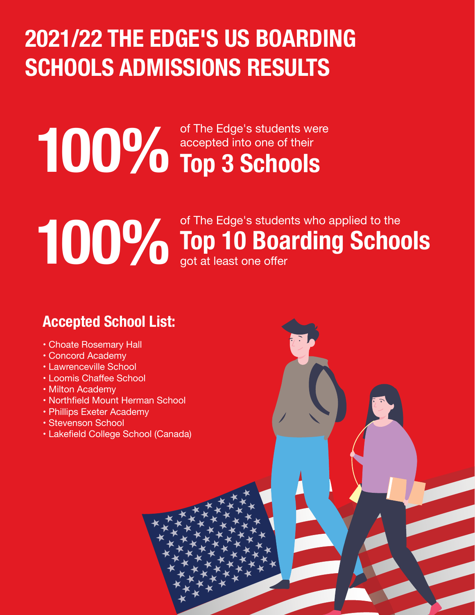# **2021/22 THE EDGE'S US BOARDING SCHOOLS ADMISSIONS RESULTS**

# **100%** of The Edge's students were<br> **100%** Top 3 Schools accepted into one of their

# **100%** of The Edge's students who applied to the got at least one offer got at least one offer

### **Accepted School List:**

- Choate Rosemary Hall
- Concord Academy
- Lawrenceville School
- Loomis Chaffee School
- Milton Academy
- Northfield Mount Herman School
- Phillips Exeter Academy
- Stevenson School
- Lakefield College School (Canada)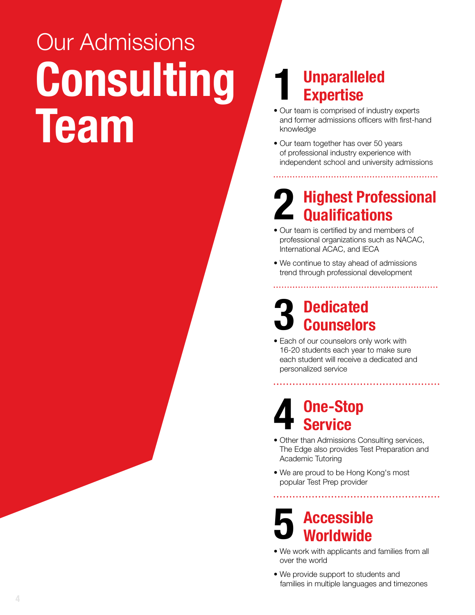# **Consulting Team** Our Admissions

## **1 Unparalleled Expertise**

- Our team is comprised of industry experts and former admissions officers with first-hand knowledge
- Our team together has over 50 years of professional industry experience with independent school and university admissions

## **2 Highest Professional Qualifications**

- Our team is certified by and members of professional organizations such as NACAC, International ACAC, and IECA
- We continue to stay ahead of admissions trend through professional development

# **3 Dedicated Counselors**

• Each of our counselors only work with 16-20 students each year to make sure each student will receive a dedicated and personalized service

## **4 One-Stop Service**

- Other than Admissions Consulting services, The Edge also provides Test Preparation and Academic Tutoring
- We are proud to be Hong Kong's most popular Test Prep provider

# **5 Accessible Worldwide**

- We work with applicants and families from all over the world
- We provide support to students and families in multiple languages and timezones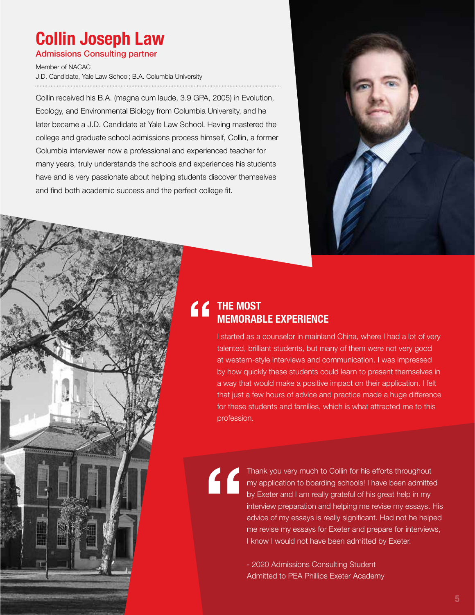# **Collin Joseph Law**

Admissions Consulting partner

Member of NACAC J.D. Candidate, Yale Law School; B.A. Columbia University

Collin received his B.A. (magna cum laude, 3.9 GPA, 2005) in Evolution, Ecology, and Environmental Biology from Columbia University, and he later became a J.D. Candidate at Yale Law School. Having mastered the college and graduate school admissions process himself, Collin, a former Columbia interviewer now a professional and experienced teacher for many years, truly understands the schools and experiences his students have and is very passionate about helping students discover themselves and find both academic success and the perfect college fit.



### **THE MOST MEMORABLE EXPERIENCE** "

I started as a counselor in mainland China, where I had a lot of very talented, brilliant students, but many of them were not very good at western-style interviews and communication. I was impressed by how quickly these students could learn to present themselves in a way that would make a positive impact on their application. I felt that just a few hours of advice and practice made a huge difference for these students and families, which is what attracted me to this profession.

"

Thank you very much to Collin for his efforts throughout my application to boarding schools! I have been admitted by Exeter and I am really grateful of his great help in my interview preparation and helping me revise my essays. His advice of my essays is really significant. Had not he helped me revise my essays for Exeter and prepare for interviews, I know I would not have been admitted by Exeter.

- 2020 Admissions Consulting Student Admitted to PEA Phillips Exeter Academy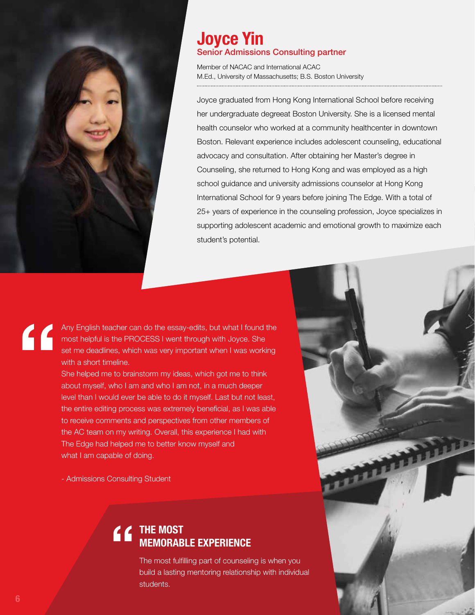

#### **Joyce Yin** Senior Admissions Consulting partner

Member of NACAC and International ACAC M.Ed., University of Massachusetts; B.S. Boston University

Joyce graduated from Hong Kong International School before receiving her undergraduate degreeat Boston University. She is a licensed mental health counselor who worked at a community healthcenter in downtown Boston. Relevant experience includes adolescent counseling, educational advocacy and consultation. After obtaining her Master's degree in Counseling, she returned to Hong Kong and was employed as a high school guidance and university admissions counselor at Hong Kong International School for 9 years before joining The Edge. With a total of 25+ years of experience in the counseling profession, Joyce specializes in supporting adolescent academic and emotional growth to maximize each student's potential.

Any English teacher can do the essay-edits, but what I found the most helpful is the PROCESS I went through with Joyce. She set me deadlines, which was very important when I was working with a short timeline. "

She helped me to brainstorm my ideas, which got me to think about myself, who I am and who I am not, in a much deeper level than I would ever be able to do it myself. Last but not least, the entire editing process was extremely beneficial, as I was able to receive comments and perspectives from other members of the AC team on my writing. Overall, this experience I had with The Edge had helped me to better know myself and what I am capable of doing.

- Admissions Consulting Student

# **THE MOST<br>
MEMORAB**<br>
The most fulfi<br>
build a lasting **MEMORABLE EXPERIENCE**

The most fulfilling part of counseling is when you build a lasting mentoring relationship with individual students.

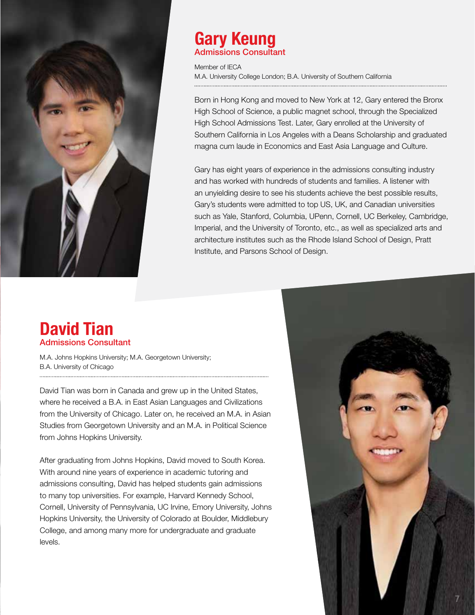

#### **Gary Keung** Admissions Consultant

Member of IECA M.A. University College London; B.A. University of Southern California

Born in Hong Kong and moved to New York at 12, Gary entered the Bronx High School of Science, a public magnet school, through the Specialized High School Admissions Test. Later, Gary enrolled at the University of Southern California in Los Angeles with a Deans Scholarship and graduated magna cum laude in Economics and East Asia Language and Culture.

Gary has eight years of experience in the admissions consulting industry and has worked with hundreds of students and families. A listener with an unyielding desire to see his students achieve the best possible results, Gary's students were admitted to top US, UK, and Canadian universities such as Yale, Stanford, Columbia, UPenn, Cornell, UC Berkeley, Cambridge, Imperial, and the University of Toronto, etc., as well as specialized arts and architecture institutes such as the Rhode Island School of Design, Pratt Institute, and Parsons School of Design.

#### **David Tian** Admissions Consultant

M.A. Johns Hopkins University; M.A. Georgetown University; B.A. University of Chicago

David Tian was born in Canada and grew up in the United States, where he received a B.A. in East Asian Languages and Civilizations from the University of Chicago. Later on, he received an M.A. in Asian Studies from Georgetown University and an M.A. in Political Science from Johns Hopkins University.

After graduating from Johns Hopkins, David moved to South Korea. With around nine years of experience in academic tutoring and admissions consulting, David has helped students gain admissions to many top universities. For example, Harvard Kennedy School, Cornell, University of Pennsylvania, UC Irvine, Emory University, Johns Hopkins University, the University of Colorado at Boulder, Middlebury College, and among many more for undergraduate and graduate levels.

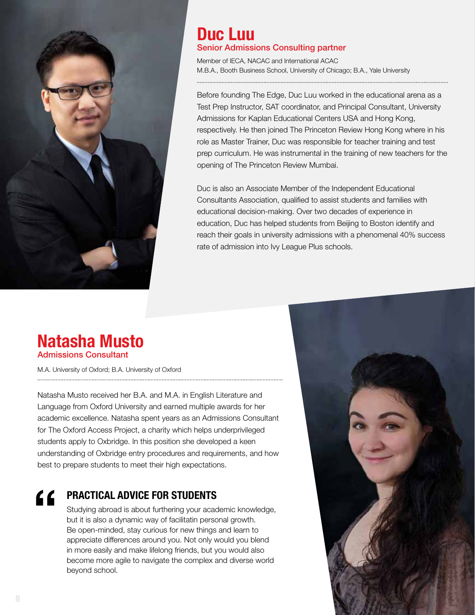

#### **Duc Luu** Senior Admissions Consulting partner

Member of IECA, NACAC and International ACAC M.B.A., Booth Business School, University of Chicago; B.A., Yale University

Before founding The Edge, Duc Luu worked in the educational arena as a Test Prep Instructor, SAT coordinator, and Principal Consultant, University Admissions for Kaplan Educational Centers USA and Hong Kong, respectively. He then joined The Princeton Review Hong Kong where in his role as Master Trainer, Duc was responsible for teacher training and test prep curriculum. He was instrumental in the training of new teachers for the opening of The Princeton Review Mumbai.

Duc is also an Associate Member of the Independent Educational Consultants Association, qualified to assist students and families with educational decision-making. Over two decades of experience in education, Duc has helped students from Beijing to Boston identify and reach their goals in university admissions with a phenomenal 40% success rate of admission into Ivy League Plus schools.

#### **Natasha Musto** Admissions Consultant

M.A. University of Oxford; B.A. University of Oxford

Natasha Musto received her B.A. and M.A. in English Literature and Language from Oxford University and earned multiple awards for her academic excellence. Natasha spent years as an Admissions Consultant for The Oxford Access Project, a charity which helps underprivileged students apply to Oxbridge. In this position she developed a keen understanding of Oxbridge entry procedures and requirements, and how best to prepare students to meet their high expectations.

#### **E PRACTICAL ADVICE FOR STUDENTS**

Studying abroad is about furthering your academic knowledge, but it is also a dynamic way of facilitatin personal growth. Be open-minded, stay curious for new things and learn to appreciate differences around you. Not only would you blend in more easily and make lifelong friends, but you would also become more agile to navigate the complex and diverse world beyond school.

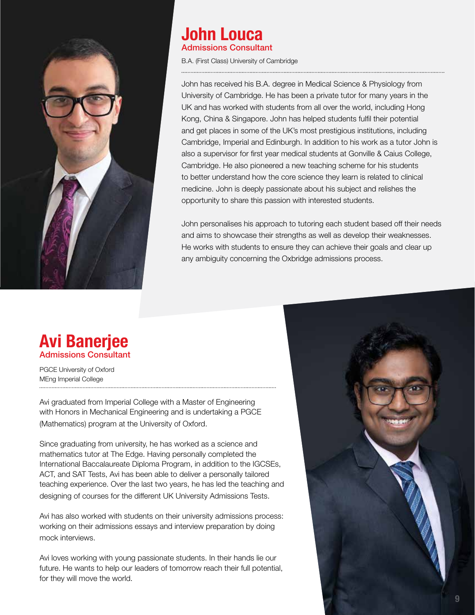

#### **John Louca** Admissions Consultant

B.A. (First Class) University of Cambridge

John has received his B.A. degree in Medical Science & Physiology from University of Cambridge. He has been a private tutor for many years in the UK and has worked with students from all over the world, including Hong Kong, China & Singapore. John has helped students fulfil their potential and get places in some of the UK's most prestigious institutions, including Cambridge, Imperial and Edinburgh. In addition to his work as a tutor John is also a supervisor for first year medical students at Gonville & Caius College, Cambridge. He also pioneered a new teaching scheme for his students to better understand how the core science they learn is related to clinical medicine. John is deeply passionate about his subject and relishes the opportunity to share this passion with interested students.

John personalises his approach to tutoring each student based off their needs and aims to showcase their strengths as well as develop their weaknesses. He works with students to ensure they can achieve their goals and clear up any ambiguity concerning the Oxbridge admissions process.

#### **Avi Banerjee** Admissions Consultant

PGCE University of Oxford MEng Imperial College

Avi graduated from Imperial College with a Master of Engineering with Honors in Mechanical Engineering and is undertaking a PGCE (Mathematics) program at the University of Oxford.

Since graduating from university, he has worked as a science and mathematics tutor at The Edge. Having personally completed the International Baccalaureate Diploma Program, in addition to the IGCSEs, ACT, and SAT Tests, Avi has been able to deliver a personally tailored teaching experience. Over the last two years, he has led the teaching and designing of courses for the different UK University Admissions Tests.

Avi has also worked with students on their university admissions process: working on their admissions essays and interview preparation by doing mock interviews.

Avi loves working with young passionate students. In their hands lie our future. He wants to help our leaders of tomorrow reach their full potential, for they will move the world.

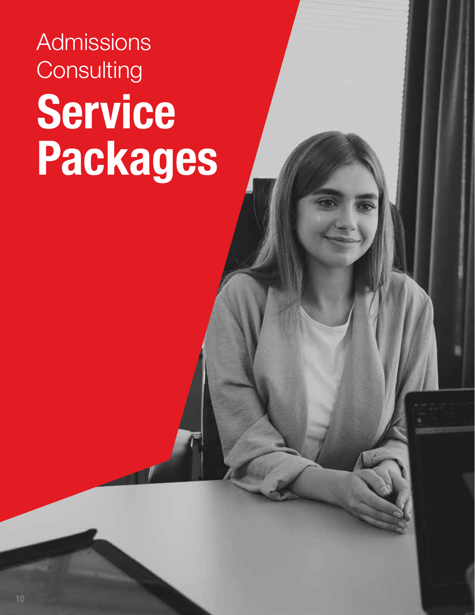# **Service Packages** Admissions **Consulting**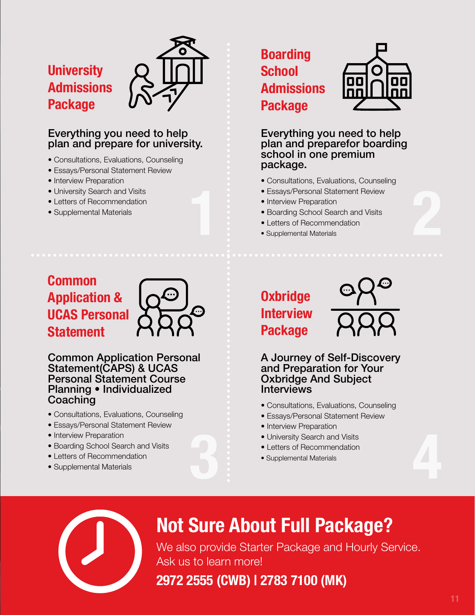### **University Admissions Package**



- Consultations, Evaluations, Counseling
- Essays/Personal Statement Review
- Interview Preparation
- University Search and Visits
- Letters of Recommendation
- Supplemental Materials

### **Boarding School Admissions Package**



Everything you need to help plan and preparefor boarding school in one premium package.

- Consultations, Evaluations, Counseling
- Essays/Personal Statement Review
- Interview Preparation
- Boarding School Search and Visits • Essays/Personal Statement Review<br>• Interview Preparation<br>• Boarding School Search and Visits<br>• Letters of Recommendation<br>• Supplemental Materials
	- Letters of Recommendation
	- Supplemental Materials

### **Common Application & UCAS Personal Statement**



#### Common Application Personal Statement(CAPS) & UCAS Personal Statement Course Planning • Individualized Coaching

- Consultations, Evaluations, Counseling
- Essays/Personal Statement Review
- Interview Preparation
- Boarding School Search and Visits
- Letters of Recommendation
- Supplemental Materials

### **Oxbridge Interview Package**



A Journey of Self-Discovery and Preparation for Your Oxbridge And Subject Interviews

- Consultations, Evaluations, Counseling
- Essays/Personal Statement Review
- Interview Preparation
- University Search and Visits
- Letters of Recommendation
- Supplemental Materials





# **Not Sure About Full Package?**

We also provide Starter Package and Hourly Service. Ask us to learn more!

### **2972 2555 (CWB) | 2783 7100 (MK)**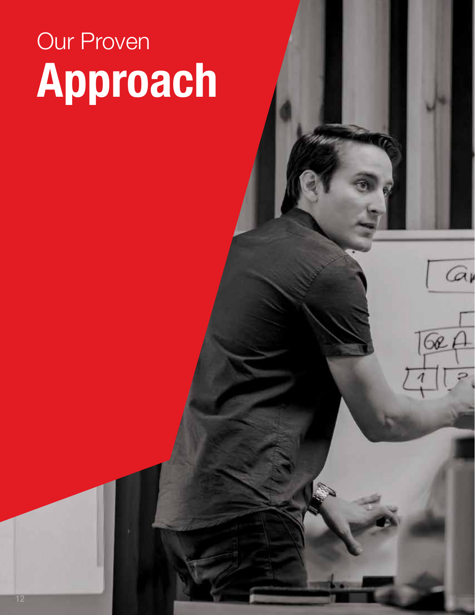# **Approach** Our Proven

Gi

 $Q$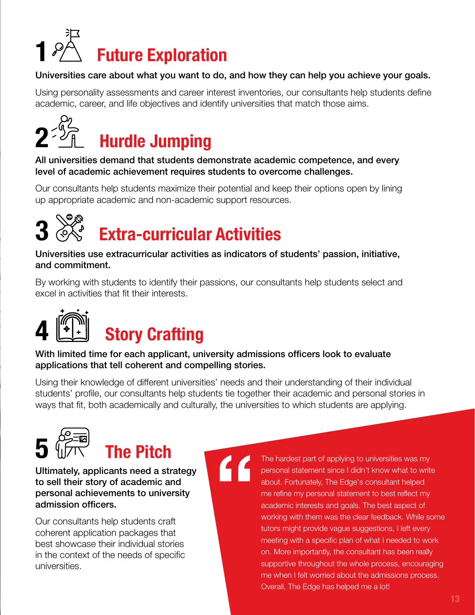

#### Universities care about what you want to do, and how they can help you achieve your goals.

Using personality assessments and career interest inventories, our consultants help students define academic, career, and life objectives and identify universities that match those aims.



All universities demand that students demonstrate academic competence, and every level of academic achievement requires students to overcome challenges.

Our consultants help students maximize their potential and keep their options open by lining up appropriate academic and non-academic support resources.



# **3 Extra-curricular Activities**

Universities use extracurricular activities as indicators of students' passion, initiative, and commitment.

By working with students to identify their passions, our consultants help students select and excel in activities that fit their interests.



With limited time for each applicant, university admissions officers look to evaluate applications that tell coherent and compelling stories.

Using their knowledge of different universities' needs and their understanding of their individual students' profile, our consultants help students tie together their academic and personal stories in ways that fit, both academically and culturally, the universities to which students are applying.

"



# **5 The Pitch**

Ultimately, applicants need a strategy to sell their story of academic and personal achievements to university admission officers.

Our consultants help students craft coherent application packages that best showcase their individual stories in the context of the needs of specific universities.

The hardest part of applying to universities was my personal statement since I didn't know what to write about. Fortunately, The Edge's consultant helped me refine my personal statement to best reflect my academic interests and goals. The best aspect of working with them was the clear feedback. While some tutors might provide vague suggestions, I left every meeting with a specific plan of what I needed to work on. More importantly, the consultant has been really supportive throughout the whole process, encouraging me when I felt worried about the admissions process. Overall, The Edge has helped me a lot!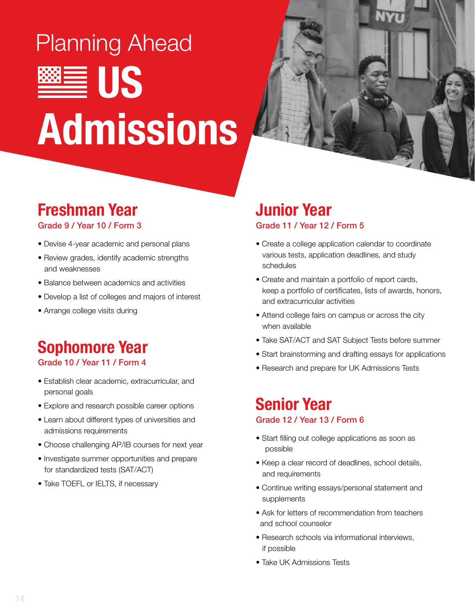# ■ US **Admissions** Planning Ahead



# **Freshman Year**

Grade 9 / Year 10 / Form 3

- Devise 4-year academic and personal plans
- Review grades, identify academic strengths and weaknesses
- Balance between academics and activities
- Develop a list of colleges and majors of interest
- Arrange college visits during

# **Sophomore Year**

#### Grade 10 / Year 11 / Form 4

- Establish clear academic, extracurricular, and personal goals
- Explore and research possible career options
- Learn about different types of universities and admissions requirements
- Choose challenging AP/IB courses for next year
- Investigate summer opportunities and prepare for standardized tests (SAT/ACT)
- Take TOEFL or IELTS, if necessary

#### **Junior Year** Grade 11 / Year 12 / Form 5

- Create a college application calendar to coordinate various tests, application deadlines, and study schedules
- Create and maintain a portfolio of report cards, keep a portfolio of certificates, lists of awards, honors, and extracurricular activities
- Attend college fairs on campus or across the city when available
- Take SAT/ACT and SAT Subject Tests before summer
- Start brainstorming and drafting essays for applications
- Research and prepare for UK Admissions Tests

#### **Senior Year** Grade 12 / Year 13 / Form 6

- Start filling out college applications as soon as possible
- Keep a clear record of deadlines, school details, and requirements
- Continue writing essays/personal statement and supplements
- Ask for letters of recommendation from teachers and school counselor
- Research schools via informational interviews, if possible
- Take UK Admissions Tests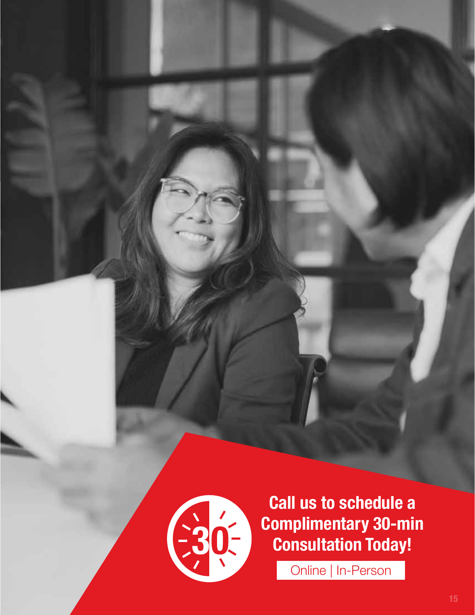

**Call us to schedule a Complimentary 30-min Consultation Today!**

Online | In-Person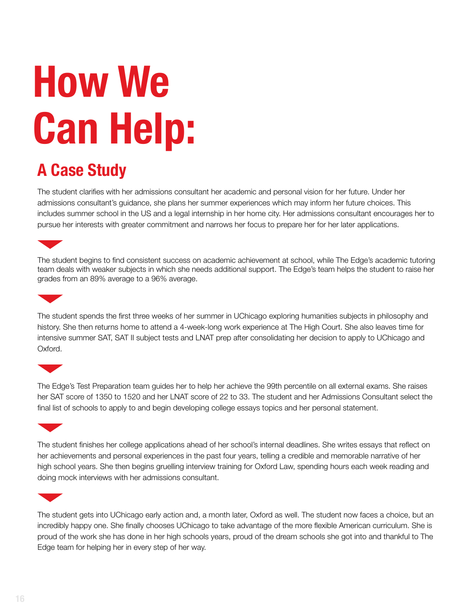# **How We Can Help:**

## **A Case Study**

The student clarifies with her admissions consultant her academic and personal vision for her future. Under her admissions consultant's guidance, she plans her summer experiences which may inform her future choices. This includes summer school in the US and a legal internship in her home city. Her admissions consultant encourages her to pursue her interests with greater commitment and narrows her focus to prepare her for her later applications.

The student begins to find consistent success on academic achievement at school, while The Edge's academic tutoring team deals with weaker subjects in which she needs additional support. The Edge's team helps the student to raise her grades from an 89% average to a 96% average.



The student spends the first three weeks of her summer in UChicago exploring humanities subjects in philosophy and history. She then returns home to attend a 4-week-long work experience at The High Court. She also leaves time for intensive summer SAT, SAT II subject tests and LNAT prep after consolidating her decision to apply to UChicago and Oxford.



The Edge's Test Preparation team guides her to help her achieve the 99th percentile on all external exams. She raises her SAT score of 1350 to 1520 and her LNAT score of 22 to 33. The student and her Admissions Consultant select the final list of schools to apply to and begin developing college essays topics and her personal statement.



The student finishes her college applications ahead of her school's internal deadlines. She writes essays that reflect on her achievements and personal experiences in the past four years, telling a credible and memorable narrative of her high school years. She then begins gruelling interview training for Oxford Law, spending hours each week reading and doing mock interviews with her admissions consultant.



The student gets into UChicago early action and, a month later, Oxford as well. The student now faces a choice, but an incredibly happy one. She finally chooses UChicago to take advantage of the more flexible American curriculum. She is proud of the work she has done in her high schools years, proud of the dream schools she got into and thankful to The Edge team for helping her in every step of her way.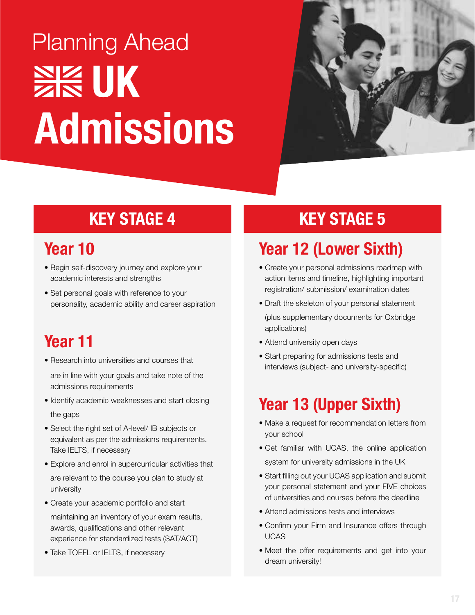# **SK UK Admissions** Planning Ahead



## **KEY STAGE 4 KEY STAGE 5**

### **Year 10**

- Begin self-discovery journey and explore your academic interests and strengths
- Set personal goals with reference to your personality, academic ability and career aspiration

## **Year 11**

• Research into universities and courses that

are in line with your goals and take note of the admissions requirements

- Identify academic weaknesses and start closing the gaps
- Select the right set of A-level/ IB subjects or equivalent as per the admissions requirements. Take IELTS, if necessary
- Explore and enrol in supercurricular activities that are relevant to the course you plan to study at university
- Create your academic portfolio and start maintaining an inventory of your exam results, awards, qualifications and other relevant experience for standardized tests (SAT/ACT)
- Take TOEFL or IELTS, if necessary

# **Year 12 (Lower Sixth)**

- Create your personal admissions roadmap with action items and timeline, highlighting important registration/ submission/ examination dates
- Draft the skeleton of your personal statement (plus supplementary documents for Oxbridge applications)
- Attend university open days
- Start preparing for admissions tests and interviews (subject- and university-specific)

# **Year 13 (Upper Sixth)**

- Make a request for recommendation letters from your school
- Get familiar with UCAS, the online application system for university admissions in the UK
- Start filling out your UCAS application and submit your personal statement and your FIVE choices of universities and courses before the deadline
- Attend admissions tests and interviews
- Confirm your Firm and Insurance offers through UCAS
- Meet the offer requirements and get into your dream university!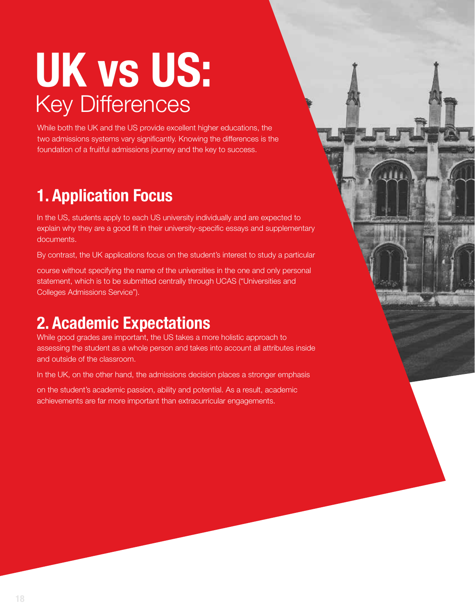# **UK vs US:** Key Differences

While both the UK and the US provide excellent higher educations, the two admissions systems vary significantly. Knowing the differences is the foundation of a fruitful admissions journey and the key to success.

# **1. Application Focus**

In the US, students apply to each US university individually and are expected to explain why they are a good fit in their university-specific essays and supplementary documents.

By contrast, the UK applications focus on the student's interest to study a particular

course without specifying the name of the universities in the one and only personal statement, which is to be submitted centrally through UCAS ("Universities and Colleges Admissions Service").

## **2. Academic Expectations**

While good grades are important, the US takes a more holistic approach to assessing the student as a whole person and takes into account all attributes inside and outside of the classroom.

In the UK, on the other hand, the admissions decision places a stronger emphasis

on the student's academic passion, ability and potential. As a result, academic achievements are far more important than extracurricular engagements.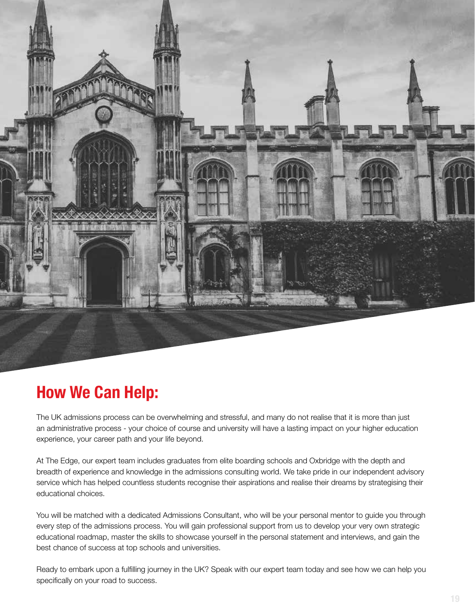

### **How We Can Help:**

The UK admissions process can be overwhelming and stressful, and many do not realise that it is more than just an administrative process - your choice of course and university will have a lasting impact on your higher education experience, your career path and your life beyond.

At The Edge, our expert team includes graduates from elite boarding schools and Oxbridge with the depth and breadth of experience and knowledge in the admissions consulting world. We take pride in our independent advisory service which has helped countless students recognise their aspirations and realise their dreams by strategising their educational choices.

You will be matched with a dedicated Admissions Consultant, who will be your personal mentor to guide you through every step of the admissions process. You will gain professional support from us to develop your very own strategic educational roadmap, master the skills to showcase yourself in the personal statement and interviews, and gain the best chance of success at top schools and universities.

Ready to embark upon a fulfilling journey in the UK? Speak with our expert team today and see how we can help you specifically on your road to success.